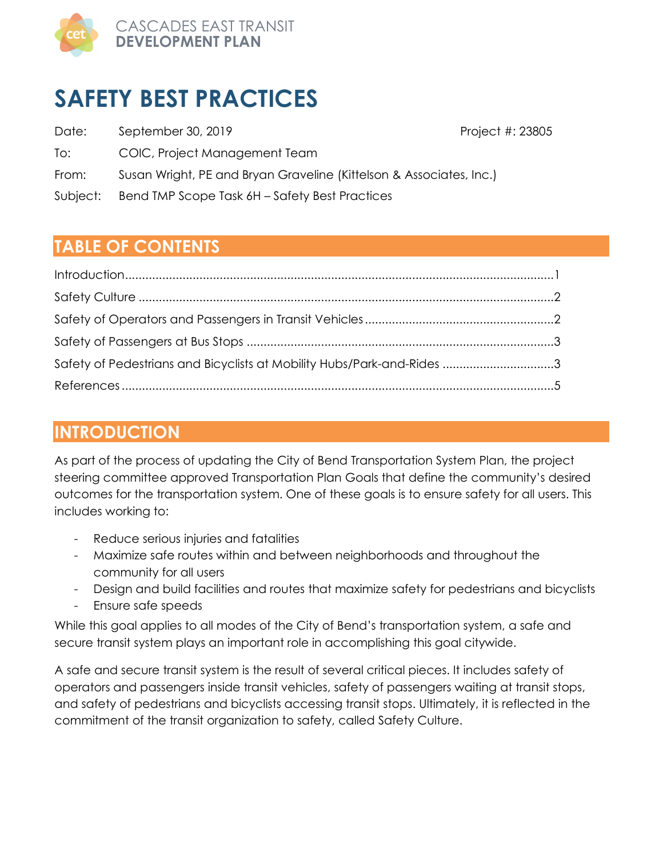

# **SAFETY BEST PRACTICES**

- Date: September 30, 2019 **Project #: 23805** Project #: 23805
- To: COIC, Project Management Team

- From: Susan Wright, PE and Bryan Graveline (Kittelson & Associates, Inc.)
- Subject: Bend TMP Scope Task 6H Safety Best Practices

## **TABLE OF CONTENTS**

| Safety of Pedestrians and Bicyclists at Mobility Hubs/Park-and-Rides 3 |  |
|------------------------------------------------------------------------|--|
|                                                                        |  |

### **INTRODUCTION**

As part of the process of updating the City of Bend Transportation System Plan, the project steering committee approved Transportation Plan Goals that define the community's desired outcomes for the transportation system. One of these goals is to ensure safety for all users. This includes working to:

- Reduce serious injuries and fatalities
- Maximize safe routes within and between neighborhoods and throughout the community for all users
- Design and build facilities and routes that maximize safety for pedestrians and bicyclists
- Ensure safe speeds

While this goal applies to all modes of the City of Bend's transportation system, a safe and secure transit system plays an important role in accomplishing this goal citywide.

A safe and secure transit system is the result of several critical pieces. It includes safety of operators and passengers inside transit vehicles, safety of passengers waiting at transit stops, and safety of pedestrians and bicyclists accessing transit stops. Ultimately, it is reflected in the commitment of the transit organization to safety, called Safety Culture.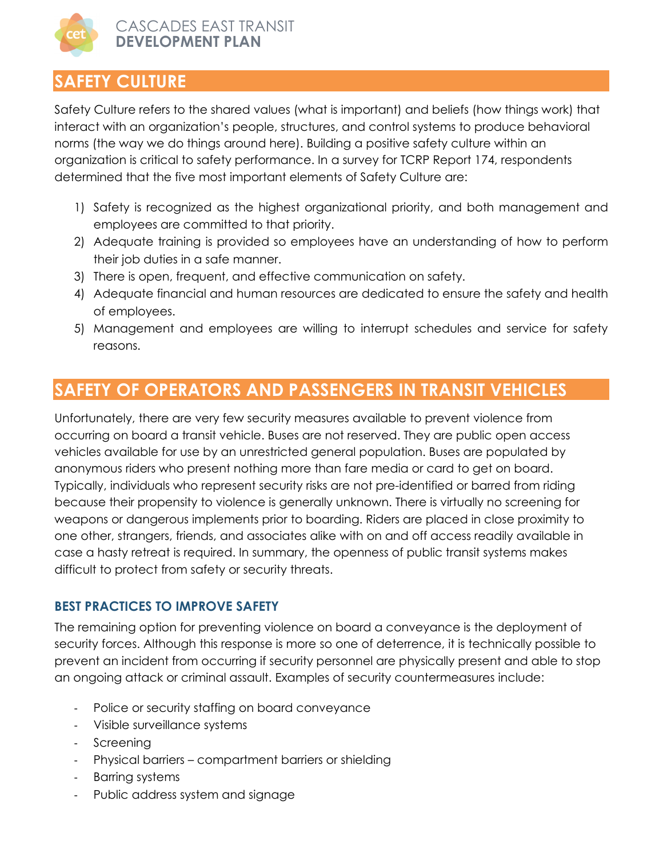

## **SAFETY CULTURE**

Safety Culture refers to the shared values (what is important) and beliefs (how things work) that interact with an organization's people, structures, and control systems to produce behavioral norms (the way we do things around here). Building a positive safety culture within an organization is critical to safety performance. In a survey for TCRP Report 174, respondents determined that the five most important elements of Safety Culture are:

- 1) Safety is recognized as the highest organizational priority, and both management and employees are committed to that priority.
- 2) Adequate training is provided so employees have an understanding of how to perform their job duties in a safe manner.
- 3) There is open, frequent, and effective communication on safety.
- 4) Adequate financial and human resources are dedicated to ensure the safety and health of employees.
- 5) Management and employees are willing to interrupt schedules and service for safety reasons.

### **SAFETY OF OPERATORS AND PASSENGERS IN TRANSIT VEHICLES**

Unfortunately, there are very few security measures available to prevent violence from occurring on board a transit vehicle. Buses are not reserved. They are public open access vehicles available for use by an unrestricted general population. Buses are populated by anonymous riders who present nothing more than fare media or card to get on board. Typically, individuals who represent security risks are not pre-identified or barred from riding because their propensity to violence is generally unknown. There is virtually no screening for weapons or dangerous implements prior to boarding. Riders are placed in close proximity to one other, strangers, friends, and associates alike with on and off access readily available in case a hasty retreat is required. In summary, the openness of public transit systems makes difficult to protect from safety or security threats.

#### **BEST PRACTICES TO IMPROVE SAFETY**

The remaining option for preventing violence on board a conveyance is the deployment of security forces. Although this response is more so one of deterrence, it is technically possible to prevent an incident from occurring if security personnel are physically present and able to stop an ongoing attack or criminal assault. Examples of security countermeasures include:

- Police or security staffing on board conveyance
- Visible surveillance systems
- Screening
- Physical barriers compartment barriers or shielding
- Barring systems
- Public address system and signage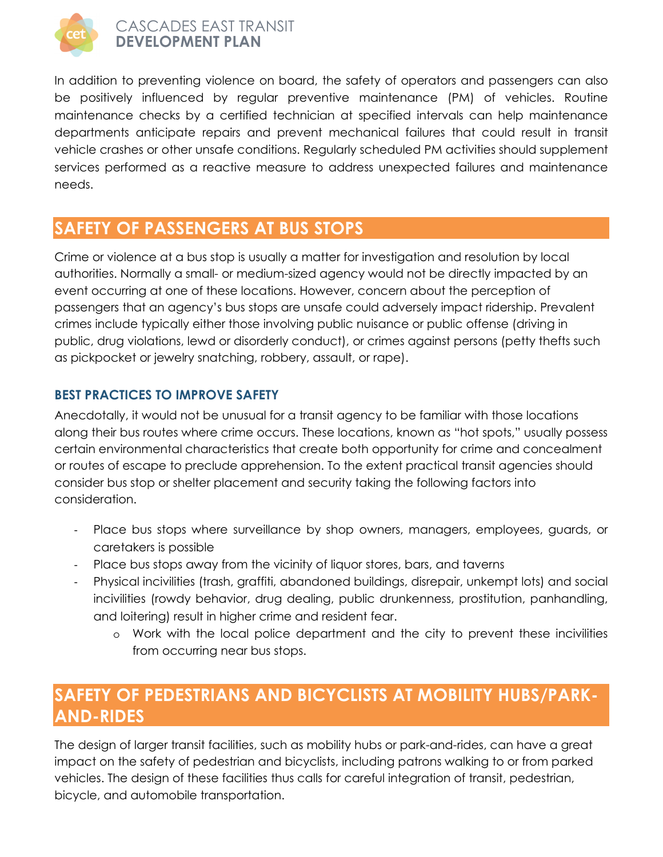

#### CASCADES EAST TRANSIT **DEVELOPMENT PLAN**

In addition to preventing violence on board, the safety of operators and passengers can also be positively influenced by regular preventive maintenance (PM) of vehicles. Routine maintenance checks by a certified technician at specified intervals can help maintenance departments anticipate repairs and prevent mechanical failures that could result in transit vehicle crashes or other unsafe conditions. Regularly scheduled PM activities should supplement services performed as a reactive measure to address unexpected failures and maintenance needs.

### **SAFETY OF PASSENGERS AT BUS STOPS**

Crime or violence at a bus stop is usually a matter for investigation and resolution by local authorities. Normally a small- or medium-sized agency would not be directly impacted by an event occurring at one of these locations. However, concern about the perception of passengers that an agency's bus stops are unsafe could adversely impact ridership. Prevalent crimes include typically either those involving public nuisance or public offense (driving in public, drug violations, lewd or disorderly conduct), or crimes against persons (petty thefts such as pickpocket or jewelry snatching, robbery, assault, or rape).

#### **BEST PRACTICES TO IMPROVE SAFETY**

Anecdotally, it would not be unusual for a transit agency to be familiar with those locations along their bus routes where crime occurs. These locations, known as "hot spots," usually possess certain environmental characteristics that create both opportunity for crime and concealment or routes of escape to preclude apprehension. To the extent practical transit agencies should consider bus stop or shelter placement and security taking the following factors into consideration.

- Place bus stops where surveillance by shop owners, managers, employees, guards, or caretakers is possible
- Place bus stops away from the vicinity of liquor stores, bars, and taverns
- Physical incivilities (trash, graffiti, abandoned buildings, disrepair, unkempt lots) and social incivilities (rowdy behavior, drug dealing, public drunkenness, prostitution, panhandling, and loitering) result in higher crime and resident fear.
	- o Work with the local police department and the city to prevent these incivilities from occurring near bus stops.

### **SAFETY OF PEDESTRIANS AND BICYCLISTS AT MOBILITY HUBS/PARK-AND-RIDES**

The design of larger transit facilities, such as mobility hubs or park-and-rides, can have a great impact on the safety of pedestrian and bicyclists, including patrons walking to or from parked vehicles. The design of these facilities thus calls for careful integration of transit, pedestrian, bicycle, and automobile transportation.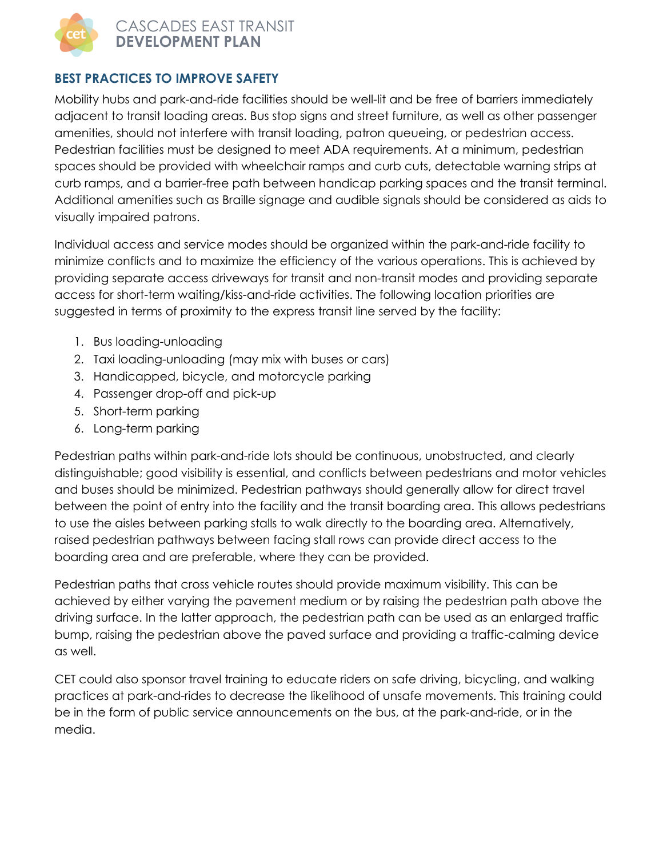

CASCADES EAST TRANSIT **DEVELOPMENT PLAN** 

#### **BEST PRACTICES TO IMPROVE SAFETY**

Mobility hubs and park-and-ride facilities should be well-lit and be free of barriers immediately adjacent to transit loading areas. Bus stop signs and street furniture, as well as other passenger amenities, should not interfere with transit loading, patron queueing, or pedestrian access. Pedestrian facilities must be designed to meet ADA requirements. At a minimum, pedestrian spaces should be provided with wheelchair ramps and curb cuts, detectable warning strips at curb ramps, and a barrier-free path between handicap parking spaces and the transit terminal. Additional amenities such as Braille signage and audible signals should be considered as aids to visually impaired patrons.

Individual access and service modes should be organized within the park-and-ride facility to minimize conflicts and to maximize the efficiency of the various operations. This is achieved by providing separate access driveways for transit and non-transit modes and providing separate access for short-term waiting/kiss-and-ride activities. The following location priorities are suggested in terms of proximity to the express transit line served by the facility:

- 1. Bus loading-unloading
- 2. Taxi loading-unloading (may mix with buses or cars)
- 3. Handicapped, bicycle, and motorcycle parking
- 4. Passenger drop-off and pick-up
- 5. Short-term parking
- 6. Long-term parking

Pedestrian paths within park-and-ride lots should be continuous, unobstructed, and clearly distinguishable; good visibility is essential, and conflicts between pedestrians and motor vehicles and buses should be minimized. Pedestrian pathways should generally allow for direct travel between the point of entry into the facility and the transit boarding area. This allows pedestrians to use the aisles between parking stalls to walk directly to the boarding area. Alternatively, raised pedestrian pathways between facing stall rows can provide direct access to the boarding area and are preferable, where they can be provided.

Pedestrian paths that cross vehicle routes should provide maximum visibility. This can be achieved by either varying the pavement medium or by raising the pedestrian path above the driving surface. In the latter approach, the pedestrian path can be used as an enlarged traffic bump, raising the pedestrian above the paved surface and providing a traffic-calming device as well.

CET could also sponsor travel training to educate riders on safe driving, bicycling, and walking practices at park-and-rides to decrease the likelihood of unsafe movements. This training could be in the form of public service announcements on the bus, at the park-and-ride, or in the media.